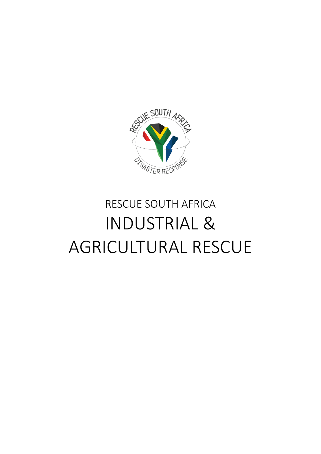

# RESCUE SOUTH AFRICA INDUSTRIAL & AGRICULTURAL RESCUE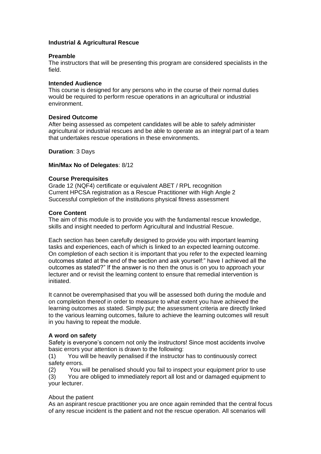# **Industrial & Agricultural Rescue**

## **Preamble**

The instructors that will be presenting this program are considered specialists in the field.

## **Intended Audience**

This course is designed for any persons who in the course of their normal duties would be required to perform rescue operations in an agricultural or industrial environment.

# **Desired Outcome**

After being assessed as competent candidates will be able to safely administer agricultural or industrial rescues and be able to operate as an integral part of a team that undertakes rescue operations in these environments.

**Duration**: 3 Days

### **Min/Max No of Delegates**: 8/12

# **Course Prerequisites**

Grade 12 (NQF4) certificate or equivalent ABET / RPL recognition Current HPCSA registration as a Rescue Practitioner with High Angle 2 Successful completion of the institutions physical fitness assessment

# **Core Content**

The aim of this module is to provide you with the fundamental rescue knowledge, skills and insight needed to perform Agricultural and Industrial Rescue.

Each section has been carefully designed to provide you with important learning tasks and experiences, each of which is linked to an expected learning outcome. On completion of each section it is important that you refer to the expected learning outcomes stated at the end of the section and ask yourself:" have I achieved all the outcomes as stated?" If the answer is no then the onus is on you to approach your lecturer and or revisit the learning content to ensure that remedial intervention is initiated.

It cannot be overemphasised that you will be assessed both during the module and on completion thereof in order to measure to what extent you have achieved the learning outcomes as stated. Simply put; the assessment criteria are directly linked to the various learning outcomes, failure to achieve the learning outcomes will result in you having to repeat the module.

# **A word on safety**

Safety is everyone's concern not only the instructors! Since most accidents involve basic errors your attention is drawn to the following:

(1) You will be heavily penalised if the instructor has to continuously correct safety errors.

(2) You will be penalised should you fail to inspect your equipment prior to use

(3) You are obliged to immediately report all lost and or damaged equipment to your lecturer.

### About the patient

As an aspirant rescue practitioner you are once again reminded that the central focus of any rescue incident is the patient and not the rescue operation. All scenarios will